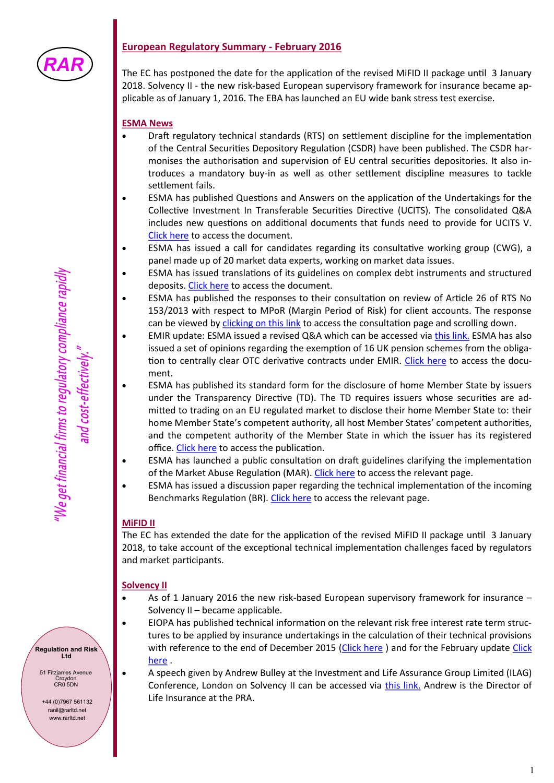

## **European Regulatory Summary - February 2016**

The EC has postponed the date for the application of the revised MiFID II package until 3 January 2018. Solvency II - the new risk-based European supervisory framework for insurance became applicable as of January 1, 2016. The EBA has launched an EU wide bank stress test exercise.

#### **ESMA News**

- Draft regulatory technical standards (RTS) on settlement discipline for the implementation of the Central Securities Depository Regulation (CSDR) have been published. The CSDR harmonises the authorisation and supervision of EU central securities depositories. It also introduces a mandatory buy-in as well as other settlement discipline measures to tackle settlement fails.
- ESMA has published Questions and Answers on the application of the Undertakings for the Collective Investment In Transferable Securities Directive (UCITS). The consolidated Q&A includes new questions on additional documents that funds need to provide for UCITS V. [Click here](https://www.esma.europa.eu/sites/default/files/library/2016-181_qa_ucits_directive.pdf) to access the document.
- ESMA has issued a call for candidates regarding its consultative working group (CWG), a panel made up of 20 market data experts, working on market data issues.
- ESMA has issued translations of its guidelines on complex debt instruments and structured deposits. [Click here](https://www.esma.europa.eu/file/15443) to access the document.
- ESMA has published the responses to their consultation on review of Article 26 of RTS No 153/2013 with respect to MPoR (Margin Period of Risk) for client accounts. The response can be viewed by [clicking on this link](https://www.esma.europa.eu/press-news/consultations/consultation-paper-review-article-26-rts-no-1532013-respect-mpor-client) to access the consultation page and scrolling down.
- EMIR update: ESMA issued a revised Q&A which can be accessed via [this link.](https://www.esma.europa.eu/file/15428) ESMA has also issued a set of opinions regarding the exemption of 16 UK pension schemes from the obliga-tion to centrally clear OTC derivative contracts under EMIR. [Click here](https://www.esma.europa.eu/file/15364) to access the document.
- ESMA has published its standard form for the disclosure of home Member State by issuers under the Transparency Directive (TD). The TD requires issuers whose securities are admitted to trading on an EU regulated market to disclose their home Member State to: their home Member State's competent authority, all host Member States' competent authorities, and the competent authority of the Member State in which the issuer has its registered office. [Click here](https://www.esma.europa.eu/file/13129) to access the publication.
- ESMA has launched a public consultation on draft guidelines clarifying the implementation of the Market Abuse Regulation (MAR). [Click here](https://www.esma.europa.eu/press-news/consultations/consultation-draft-guidelines-market-abuse-regulation) to access the relevant page.
- ESMA has issued a discussion paper regarding the technical implementation of the incoming Benchmarks Regulation (BR). [Click here](https://www.esma.europa.eu/press-news/consultations/discussion-paper-benchmarks-regulation) to access the relevant page.

### **MiFID II**

The EC has extended the date for the application of the revised MiFID II package until 3 January 2018, to take account of the exceptional technical implementation challenges faced by regulators and market participants.

### **Solvency II**

- As of 1 January 2016 the new risk-based European supervisory framework for insurance Solvency II – became applicable.
- EIOPA has published technical information on the relevant risk free interest rate term structures to be applied by insurance undertakings in the calculation of their technical provisions with reference to the end of December 2015 ([Click here](https://eiopa.europa.eu/Pages/News/EIOPA-publishes-first-Solvency-II-relevant-risk-free-interest-rate-term-structures-08-01-2016.aspx)) and for the February update Click [here](https://eiopa.europa.eu/Pages/News/EIOPA-publishes-the-monthly-technical-information-and-carries-out-a-planned-update-of-the-LTAS-part-of-the-coding-for-the-S.aspx) .
- A speech given by Andrew Bulley at the Investment and Life Assurance Group Limited (ILAG) Conference, London on Solvency II can be accessed via [this link.](http://www.bankofengland.co.uk/publications/Documents/speeches/2016/speech882.pdf) Andrew is the Director of Life Insurance at the PRA.

**Regulation and Risk Ltd**

51 Fitzjames Avenue Croydon CR0 5DN

+44 (0)7967 561132 ranil@rarltd.net www.rarltd.net